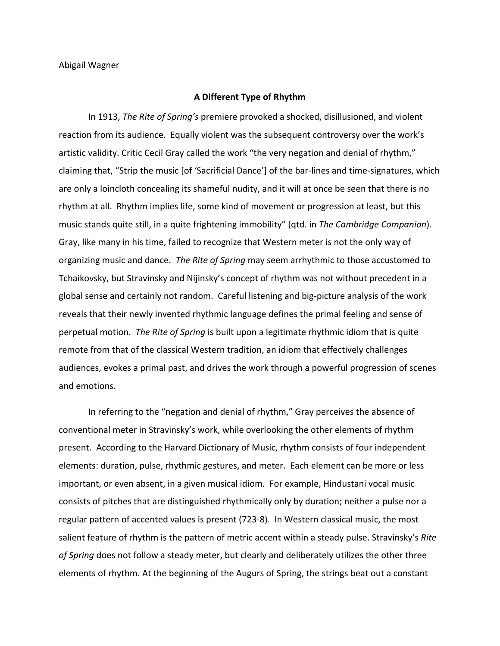## **A Different Type of Rhythm**

In
1913, *The Rite of Spring's* premiere
provoked
a
shocked,
disillusioned,
and
violent reaction from its audience. Equally violent was the subsequent controversy over the work's artistic validity. Critic Cecil Gray called the work "the very negation and denial of rhythm," claiming that, "Strip the music [of 'Sacrificial Dance'] of the bar-lines and time-signatures, which are only a loincloth concealing its shameful nudity, and it will at once be seen that there is no rhythm at all. Rhythm implies life, some kind of movement or progression at least, but this music
stands
quite
still,
in
a
quite
frightening
immobility"
(qtd.
in *The Cambridge Companion*). Gray, like many in his time, failed to recognize that Western meter is not the only way of organizing
music
and
dance. *The Rite of Spring*may
seem
arrhythmic
to
those
accustomed
to Tchaikovsky, but Stravinsky and Nijinsky's concept of rhythm was not without precedent in a global sense and certainly not random. Careful listening and big-picture analysis of the work reveals that their newly invented rhythmic language defines the primal feeling and sense of perpetual motion. The Rite of Spring is built upon a legitimate rhythmic idiom that is quite remote from that of the classical Western tradition, an idiom that effectively challenges audiences, evokes a primal past, and drives the work through a powerful progression of scenes and
emotions.

In referring to the "negation and denial of rhythm," Gray perceives the absence of conventional
meter
in
Stravinsky's
work,
while
overlooking
the
other
elements
of
rhythm present. According to the Harvard Dictionary of Music, rhythm consists of four independent elements: duration, pulse, rhythmic gestures, and meter. Each element can be more or less important, or even absent, in a given musical idiom. For example, Hindustani vocal music consists of pitches that are distinguished rhythmically only by duration; neither a pulse nor a regular pattern of accented values is present (723-8). In Western classical music, the most salient feature of rhythm is the pattern of metric accent within a steady pulse. Stravinsky's Rite of Spring does not follow a steady meter, but clearly and deliberately utilizes the other three elements
of
rhythm. At
the
beginning
of
the
Augurs
of
Spring,
the
strings
beat
out
a
constant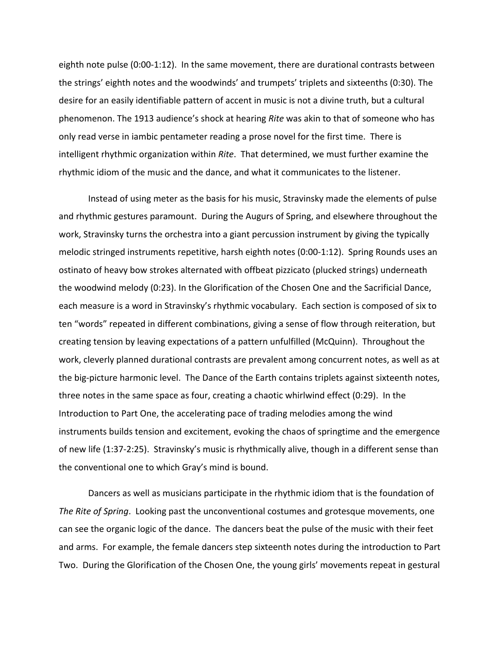eighth note pulse (0:00-1:12). In the same movement, there are durational contrasts between the
strings'
eighth
notes
and
the
woodwinds'
and
trumpets'
triplets
and
sixteenths
(0:30).
The desire for an easily identifiable pattern of accent in music is not a divine truth, but a cultural phenomenon.
The
1913
audience's
shock
at
hearing *Rite* was
akin
to
that
of
someone
who
has only
read
verse
in
iambic
pentameter
reading
a
prose
novel
for
the
first
time.

There
is intelligent rhythmic organization within *Rite*. That determined, we must further examine the rhythmic idiom of the music and the dance, and what it communicates to the listener.

Instead of using meter as the basis for his music, Stravinsky made the elements of pulse and
rhythmic
gestures
paramount.

During
the
Augurs
of
Spring,
and
elsewhere
throughout
the work, Stravinsky turns the orchestra into a giant percussion instrument by giving the typically melodic stringed instruments repetitive, harsh eighth notes (0:00-1:12). Spring Rounds uses an ostinato
of
heavy
bow
strokes
alternated
with
offbeat
pizzicato
(plucked
strings)
underneath the woodwind melody (0:23). In the Glorification of the Chosen One and the Sacrificial Dance, each measure is a word in Stravinsky's rhythmic vocabulary. Each section is composed of six to ten "words" repeated in different combinations, giving a sense of flow through reiteration, but creating
tension
by
leaving
expectations
of
a
pattern
unfulfilled
(McQuinn).

Throughout
the work, cleverly planned durational contrasts are prevalent among concurrent notes, as well as at the big-picture harmonic level. The Dance of the Earth contains triplets against sixteenth notes, three notes in the same space as four, creating a chaotic whirlwind effect (0:29). In the Introduction to Part One, the accelerating pace of trading melodies among the wind instruments builds tension and excitement, evoking the chaos of springtime and the emergence of new life (1:37-2:25). Stravinsky's music is rhythmically alive, though in a different sense than the
conventional
one
to
which
Gray's
mind
is
bound.

Dancers as well as musicians participate in the rhythmic idiom that is the foundation of The Rite of Spring. Looking past the unconventional costumes and grotesque movements, one can
see
the
organic
logic
of
the
dance.

The
dancers
beat
the
pulse
of
the
music
with
their
feet and arms. For example, the female dancers step sixteenth notes during the introduction to Part Two. During the Glorification of the Chosen One, the young girls' movements repeat in gestural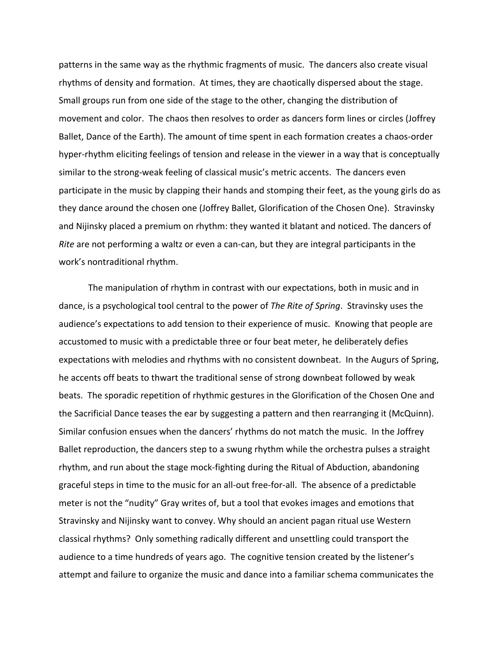patterns in the same way as the rhythmic fragments of music. The dancers also create visual rhythms
of
density
and
formation.

At
times,
they
are
chaotically
dispersed
about
the
stage. Small groups run from one side of the stage to the other, changing the distribution of movement
and
color.

The
chaos
then
resolves
to
order
as
dancers
form
lines
or
circles
(Joffrey Ballet, Dance of the Earth). The amount of time spent in each formation creates a chaos-order hyper-rhythm eliciting feelings of tension and release in the viewer in a way that is conceptually similar to the strong-weak feeling of classical music's metric accents. The dancers even participate in the music by clapping their hands and stomping their feet, as the young girls do as they
dance
around
the
chosen
one
(Joffrey
Ballet,
Glorification
of
the
Chosen
One).

Stravinsky and
Nijinsky
placed
a
premium
on
rhythm:
they
wanted
it
blatant
and
noticed.
The
dancers
of *Rite* are not performing a waltz or even a can-can, but they are integral participants in the work's
nontraditional
rhythm.

The manipulation of rhythm in contrast with our expectations, both in music and in dance, is a psychological tool central to the power of *The Rite of Spring*. Stravinsky uses the audience's expectations to add tension to their experience of music. Knowing that people are accustomed
to
music
with
a
predictable
three
or
four
beat
meter,
he
deliberately
defies expectations
with
melodies
and
rhythms
with
no
consistent
downbeat.

In
the
Augurs
of
Spring, he accents off beats to thwart the traditional sense of strong downbeat followed by weak beats. The sporadic repetition of rhythmic gestures in the Glorification of the Chosen One and the
Sacrificial
Dance
teases
the
ear
by
suggesting
a
pattern
and
then
rearranging
it
(McQuinn). Similar confusion ensues when the dancers' rhythms do not match the music. In the Joffrey Ballet reproduction, the dancers step to a swung rhythm while the orchestra pulses a straight rhythm, and run about the stage mock-fighting during the Ritual of Abduction, abandoning graceful steps in time to the music for an all-out free-for-all. The absence of a predictable meter is not the "nudity" Gray writes of, but a tool that evokes images and emotions that Stravinsky
and
Nijinsky
want
to
convey.
Why
should
an
ancient
pagan
ritual
use
Western classical
rhythms?

Only
something
radically
different
and
unsettling
could
transport
the audience to a time hundreds of years ago. The cognitive tension created by the listener's attempt
and
failure
to
organize
the
music
and
dance
into
a
familiar
schema
communicates
the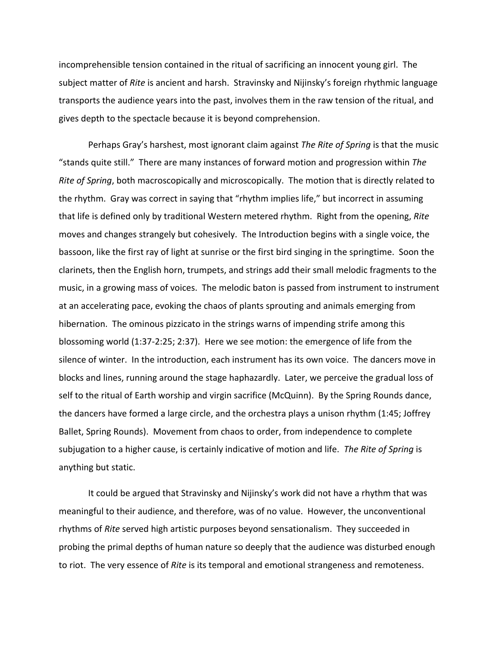incomprehensible tension contained in the ritual of sacrificing an innocent young girl. The subject matter of Rite is ancient and harsh. Stravinsky and Nijinsky's foreign rhythmic language transports the audience years into the past, involves them in the raw tension of the ritual, and gives
depth
to
the
spectacle
because
it
is
beyond
comprehension.

Perhaps Gray's harshest, most ignorant claim against The Rite of Spring is that the music "stands quite still." There are many instances of forward motion and progression within The Rite of Spring, both macroscopically and microscopically. The motion that is directly related to the rhythm. Gray was correct in saying that "rhythm implies life," but incorrect in assuming that
life
is
defined
only
by
traditional
Western
metered
rhythm.

Right
from
the
opening, *Rite* moves and changes strangely but cohesively. The Introduction begins with a single voice, the bassoon, like the first ray of light at sunrise or the first bird singing in the springtime. Soon the clarinets,
then
the
English
horn,
trumpets,
and
strings
add
their
small
melodic
fragments
to
the music, in a growing mass of voices. The melodic baton is passed from instrument to instrument at
an
accelerating
pace,
evoking
the
chaos
of
plants
sprouting
and
animals
emerging
from hibernation. The ominous pizzicato in the strings warns of impending strife among this blossoming world (1:37-2:25; 2:37). Here we see motion: the emergence of life from the silence of winter. In the introduction, each instrument has its own voice. The dancers move in blocks and lines, running around the stage haphazardly. Later, we perceive the gradual loss of self to the ritual of Earth worship and virgin sacrifice (McQuinn). By the Spring Rounds dance, the dancers have formed a large circle, and the orchestra plays a unison rhythm (1:45; Joffrey Ballet,
Spring
Rounds).

Movement
from
chaos
to
order,
from
independence
to
complete subjugation to a higher cause, is certainly indicative of motion and life. The Rite of Spring is anything
but
static.

It could be argued that Stravinsky and Nijinsky's work did not have a rhythm that was meaningful to their audience, and therefore, was of no value. However, the unconventional rhythms of Rite served high artistic purposes beyond sensationalism. They succeeded in probing the primal depths of human nature so deeply that the audience was disturbed enough to riot. The very essence of Rite is its temporal and emotional strangeness and remoteness.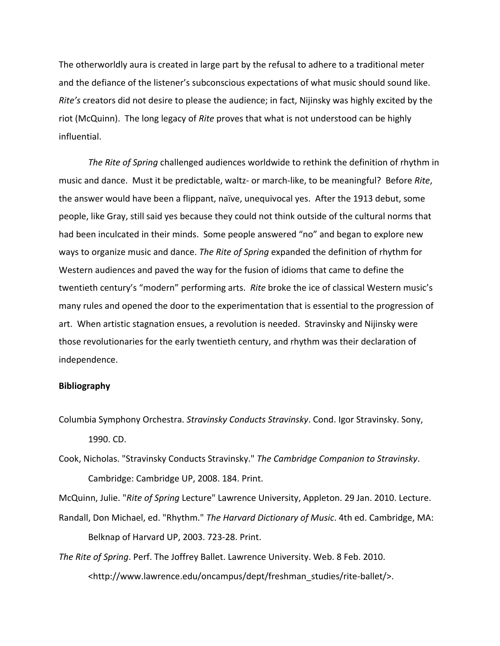The
otherworldly
aura
is
created
in
large
part
by
the
refusal
to
adhere
to
a
traditional
meter and the defiance of the listener's subconscious expectations of what music should sound like. *Rite's* creators did not desire to please the audience; in fact, Nijinsky was highly excited by the riot (McQuinn). The long legacy of *Rite* proves that what is not understood can be highly influential.

The Rite of Spring challenged audiences worldwide to rethink the definition of rhythm in music and dance. Must it be predictable, waltz- or march-like, to be meaningful? Before Rite, the
answer
would
have
been
a
flippant,
naïve,
unequivocal
yes.

After
the
1913
debut,
some people,
like
Gray,
still
said
yes
because
they
could
not
think
outside
of
the
cultural
norms
that had been inculcated in their minds. Some people answered "no" and began to explore new ways to organize music and dance. The Rite of Spring expanded the definition of rhythm for Western audiences and paved the way for the fusion of idioms that came to define the twentieth century's "modern" performing arts. Rite broke the ice of classical Western music's many rules and opened the door to the experimentation that is essential to the progression of art. When artistic stagnation ensues, a revolution is needed. Stravinsky and Nijinsky were those
revolutionaries
for
the
early
twentieth
century,
and
rhythm
was
their
declaration
of independence.

## **Bibliography**

Columbia
Symphony
Orchestra. *Stravinsky Conducts Stravinsky*.
Cond.
Igor
Stravinsky.
Sony, 1990.
CD.

Cook,
Nicholas.
"Stravinsky
Conducts
Stravinsky." *The Cambridge Companion to Stravinsky*. Cambridge: Cambridge
UP,
2008.
184.
Print.

McQuinn, Julie. "Rite of Spring Lecture" Lawrence University, Appleton. 29 Jan. 2010. Lecture.

Randall, Don Michael, ed. "Rhythm." The Harvard Dictionary of Music. 4th ed. Cambridge, MA: Belknap
of
Harvard
UP,
2003.
723‐28.
Print.

The Rite of Spring. Perf. The Joffrey Ballet. Lawrence University. Web. 8 Feb. 2010. <http://www.lawrence.edu/oncampus/dept/freshman\_studies/rite-ballet/>.